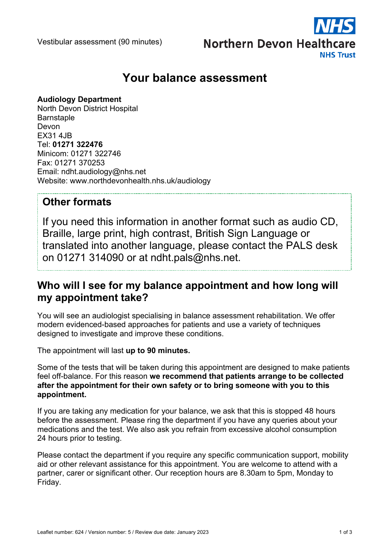Vestibular assessment (90 minutes)



# **Your balance assessment**

#### **Audiology Department**

North Devon District Hospital **Barnstaple** Devon EX31 4JB Tel: **01271 322476** Minicom: 01271 322746 Fax: 01271 370253 Email: ndht.audiology@nhs.net Website: www.northdevonhealth.nhs.uk/audiology

### **Other formats**

If you need this information in another format such as audio CD, Braille, large print, high contrast, British Sign Language or translated into another language, please contact the PALS desk on 01271 314090 or at ndht.pals@nhs.net.

### **Who will I see for my balance appointment and how long will my appointment take?**

You will see an audiologist specialising in balance assessment rehabilitation. We offer modern evidenced-based approaches for patients and use a variety of techniques designed to investigate and improve these conditions.

The appointment will last **up to 90 minutes.**

Some of the tests that will be taken during this appointment are designed to make patients feel off-balance. For this reason **we recommend that patients arrange to be collected after the appointment for their own safety or to bring someone with you to this appointment.**

If you are taking any medication for your balance, we ask that this is stopped 48 hours before the assessment. Please ring the department if you have any queries about your medications and the test. We also ask you refrain from excessive alcohol consumption 24 hours prior to testing.

Please contact the department if you require any specific communication support, mobility aid or other relevant assistance for this appointment. You are welcome to attend with a partner, carer or significant other. Our reception hours are 8.30am to 5pm, Monday to Friday.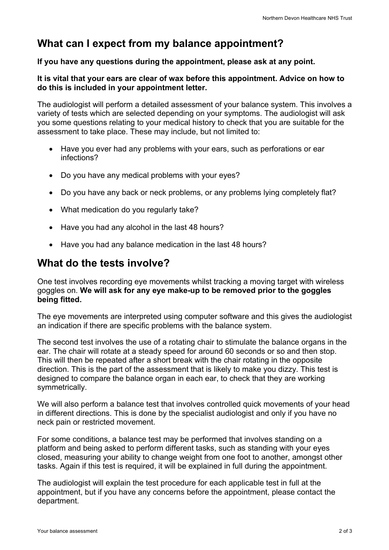## **What can I expect from my balance appointment?**

#### **If you have any questions during the appointment, please ask at any point.**

#### **It is vital that your ears are clear of wax before this appointment. Advice on how to do this is included in your appointment letter.**

The audiologist will perform a detailed assessment of your balance system. This involves a variety of tests which are selected depending on your symptoms. The audiologist will ask you some questions relating to your medical history to check that you are suitable for the assessment to take place. These may include, but not limited to:

- Have you ever had any problems with your ears, such as perforations or ear infections?
- Do you have any medical problems with your eyes?
- Do you have any back or neck problems, or any problems lying completely flat?
- What medication do you regularly take?
- Have you had any alcohol in the last 48 hours?
- Have you had any balance medication in the last 48 hours?

### **What do the tests involve?**

One test involves recording eye movements whilst tracking a moving target with wireless goggles on. **We will ask for any eye make-up to be removed prior to the goggles being fitted.**

The eye movements are interpreted using computer software and this gives the audiologist an indication if there are specific problems with the balance system.

The second test involves the use of a rotating chair to stimulate the balance organs in the ear. The chair will rotate at a steady speed for around 60 seconds or so and then stop. This will then be repeated after a short break with the chair rotating in the opposite direction. This is the part of the assessment that is likely to make you dizzy. This test is designed to compare the balance organ in each ear, to check that they are working symmetrically.

We will also perform a balance test that involves controlled quick movements of your head in different directions. This is done by the specialist audiologist and only if you have no neck pain or restricted movement.

For some conditions, a balance test may be performed that involves standing on a platform and being asked to perform different tasks, such as standing with your eyes closed, measuring your ability to change weight from one foot to another, amongst other tasks. Again if this test is required, it will be explained in full during the appointment.

The audiologist will explain the test procedure for each applicable test in full at the appointment, but if you have any concerns before the appointment, please contact the department.